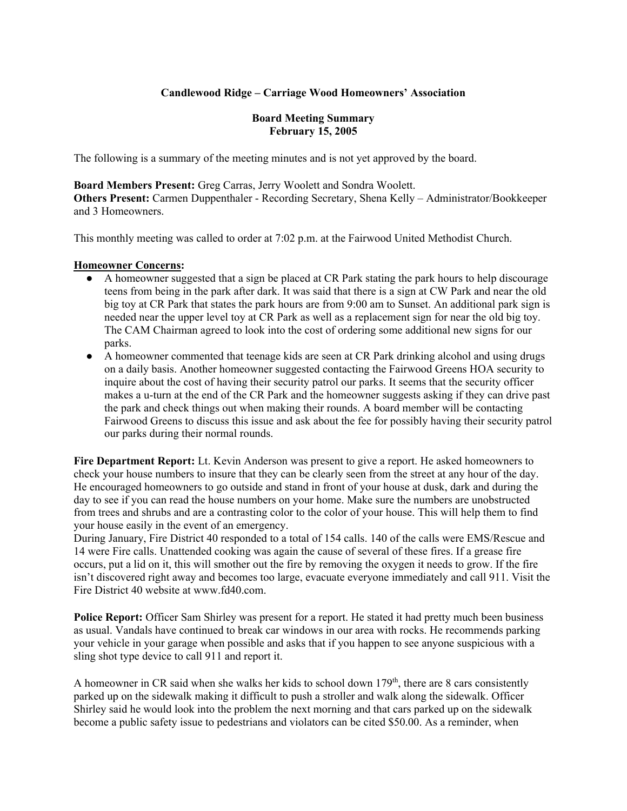## **Candlewood Ridge – Carriage Wood Homeowners' Association**

## **Board Meeting Summary February 15, 2005**

The following is a summary of the meeting minutes and is not yet approved by the board.

**Board Members Present:** Greg Carras, Jerry Woolett and Sondra Woolett. **Others Present:** Carmen Duppenthaler - Recording Secretary, Shena Kelly – Administrator/Bookkeeper and 3 Homeowners.

This monthly meeting was called to order at 7:02 p.m. at the Fairwood United Methodist Church.

#### **Homeowner Concerns:**

- A homeowner suggested that a sign be placed at CR Park stating the park hours to help discourage teens from being in the park after dark. It was said that there is a sign at CW Park and near the old big toy at CR Park that states the park hours are from 9:00 am to Sunset. An additional park sign is needed near the upper level toy at CR Park as well as a replacement sign for near the old big toy. The CAM Chairman agreed to look into the cost of ordering some additional new signs for our parks.
- A homeowner commented that teenage kids are seen at CR Park drinking alcohol and using drugs on a daily basis. Another homeowner suggested contacting the Fairwood Greens HOA security to inquire about the cost of having their security patrol our parks. It seems that the security officer makes a u-turn at the end of the CR Park and the homeowner suggests asking if they can drive past the park and check things out when making their rounds. A board member will be contacting Fairwood Greens to discuss this issue and ask about the fee for possibly having their security patrol our parks during their normal rounds.

**Fire Department Report:** Lt. Kevin Anderson was present to give a report. He asked homeowners to check your house numbers to insure that they can be clearly seen from the street at any hour of the day. He encouraged homeowners to go outside and stand in front of your house at dusk, dark and during the day to see if you can read the house numbers on your home. Make sure the numbers are unobstructed from trees and shrubs and are a contrasting color to the color of your house. This will help them to find your house easily in the event of an emergency.

During January, Fire District 40 responded to a total of 154 calls. 140 of the calls were EMS/Rescue and 14 were Fire calls. Unattended cooking was again the cause of several of these fires. If a grease fire occurs, put a lid on it, this will smother out the fire by removing the oxygen it needs to grow. If the fire isn't discovered right away and becomes too large, evacuate everyone immediately and call 911. Visit the Fire District 40 website at www.fd40.com.

**Police Report:** Officer Sam Shirley was present for a report. He stated it had pretty much been business as usual. Vandals have continued to break car windows in our area with rocks. He recommends parking your vehicle in your garage when possible and asks that if you happen to see anyone suspicious with a sling shot type device to call 911 and report it.

A homeowner in CR said when she walks her kids to school down  $179<sup>th</sup>$ , there are 8 cars consistently parked up on the sidewalk making it difficult to push a stroller and walk along the sidewalk. Officer Shirley said he would look into the problem the next morning and that cars parked up on the sidewalk become a public safety issue to pedestrians and violators can be cited \$50.00. As a reminder, when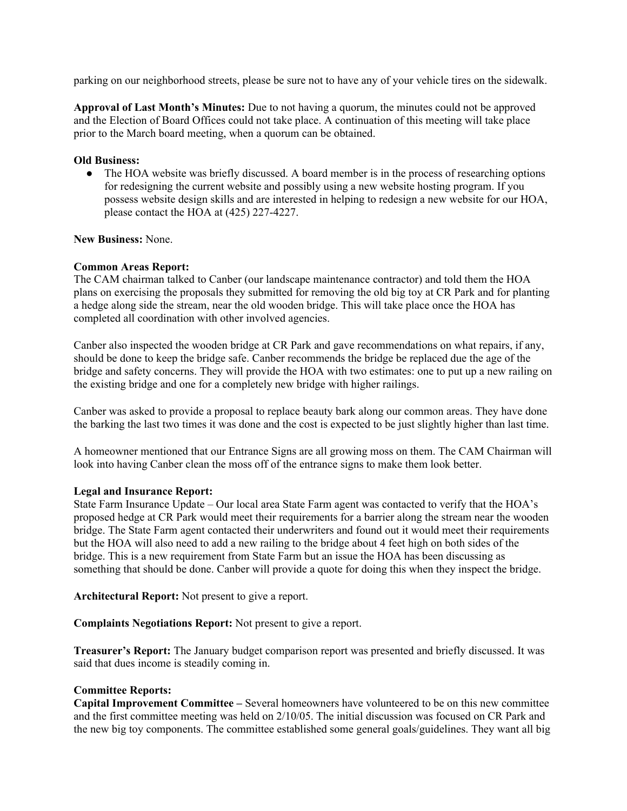parking on our neighborhood streets, please be sure not to have any of your vehicle tires on the sidewalk.

**Approval of Last Month's Minutes:** Due to not having a quorum, the minutes could not be approved and the Election of Board Offices could not take place. A continuation of this meeting will take place prior to the March board meeting, when a quorum can be obtained.

## **Old Business:**

• The HOA website was briefly discussed. A board member is in the process of researching options for redesigning the current website and possibly using a new website hosting program. If you possess website design skills and are interested in helping to redesign a new website for our HOA, please contact the HOA at (425) 227-4227.

**New Business:** None.

## **Common Areas Report:**

The CAM chairman talked to Canber (our landscape maintenance contractor) and told them the HOA plans on exercising the proposals they submitted for removing the old big toy at CR Park and for planting a hedge along side the stream, near the old wooden bridge. This will take place once the HOA has completed all coordination with other involved agencies.

Canber also inspected the wooden bridge at CR Park and gave recommendations on what repairs, if any, should be done to keep the bridge safe. Canber recommends the bridge be replaced due the age of the bridge and safety concerns. They will provide the HOA with two estimates: one to put up a new railing on the existing bridge and one for a completely new bridge with higher railings.

Canber was asked to provide a proposal to replace beauty bark along our common areas. They have done the barking the last two times it was done and the cost is expected to be just slightly higher than last time.

A homeowner mentioned that our Entrance Signs are all growing moss on them. The CAM Chairman will look into having Canber clean the moss off of the entrance signs to make them look better.

#### **Legal and Insurance Report:**

State Farm Insurance Update – Our local area State Farm agent was contacted to verify that the HOA's proposed hedge at CR Park would meet their requirements for a barrier along the stream near the wooden bridge. The State Farm agent contacted their underwriters and found out it would meet their requirements but the HOA will also need to add a new railing to the bridge about 4 feet high on both sides of the bridge. This is a new requirement from State Farm but an issue the HOA has been discussing as something that should be done. Canber will provide a quote for doing this when they inspect the bridge.

**Architectural Report:** Not present to give a report.

**Complaints Negotiations Report:** Not present to give a report.

**Treasurer's Report:** The January budget comparison report was presented and briefly discussed. It was said that dues income is steadily coming in.

#### **Committee Reports:**

**Capital Improvement Committee –** Several homeowners have volunteered to be on this new committee and the first committee meeting was held on 2/10/05. The initial discussion was focused on CR Park and the new big toy components. The committee established some general goals/guidelines. They want all big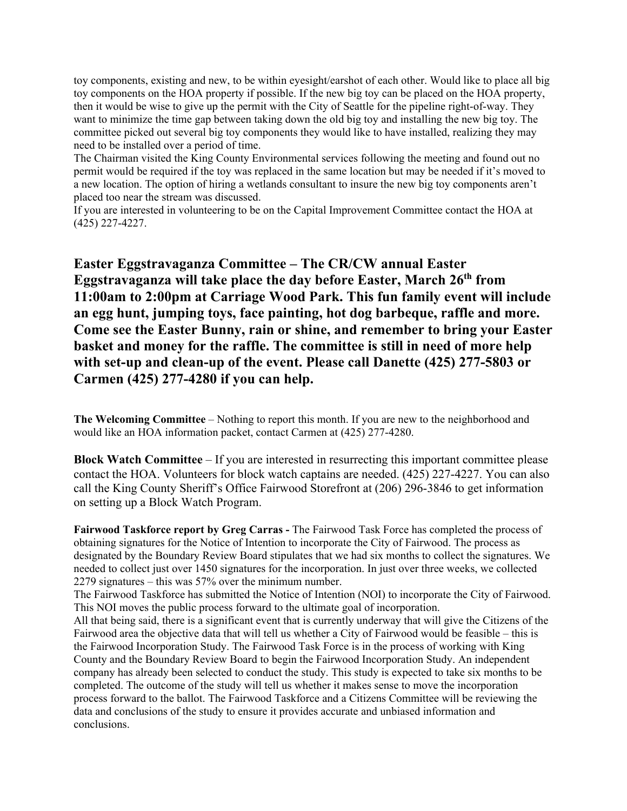toy components, existing and new, to be within eyesight/earshot of each other. Would like to place all big toy components on the HOA property if possible. If the new big toy can be placed on the HOA property, then it would be wise to give up the permit with the City of Seattle for the pipeline right-of-way. They want to minimize the time gap between taking down the old big toy and installing the new big toy. The committee picked out several big toy components they would like to have installed, realizing they may need to be installed over a period of time.

The Chairman visited the King County Environmental services following the meeting and found out no permit would be required if the toy was replaced in the same location but may be needed if it's moved to a new location. The option of hiring a wetlands consultant to insure the new big toy components aren't placed too near the stream was discussed.

If you are interested in volunteering to be on the Capital Improvement Committee contact the HOA at (425) 227-4227.

**Easter Eggstravaganza Committee – The CR/CW annual Easter Eggstravaganza will take place the day before Easter, March 26th from 11:00am to 2:00pm at Carriage Wood Park. This fun family event will include an egg hunt, jumping toys, face painting, hot dog barbeque, raffle and more. Come see the Easter Bunny, rain or shine, and remember to bring your Easter basket and money for the raffle. The committee is still in need of more help with set-up and clean-up of the event. Please call Danette (425) 277-5803 or Carmen (425) 277-4280 if you can help.** 

**The Welcoming Committee** – Nothing to report this month. If you are new to the neighborhood and would like an HOA information packet, contact Carmen at (425) 277-4280.

**Block Watch Committee** – If you are interested in resurrecting this important committee please contact the HOA. Volunteers for block watch captains are needed. (425) 227-4227. You can also call the King County Sheriff's Office Fairwood Storefront at (206) 296-3846 to get information on setting up a Block Watch Program.

**Fairwood Taskforce report by Greg Carras -** The Fairwood Task Force has completed the process of obtaining signatures for the Notice of Intention to incorporate the City of Fairwood. The process as designated by the Boundary Review Board stipulates that we had six months to collect the signatures. We needed to collect just over 1450 signatures for the incorporation. In just over three weeks, we collected 2279 signatures – this was 57% over the minimum number.

The Fairwood Taskforce has submitted the Notice of Intention (NOI) to incorporate the City of Fairwood. This NOI moves the public process forward to the ultimate goal of incorporation.

All that being said, there is a significant event that is currently underway that will give the Citizens of the Fairwood area the objective data that will tell us whether a City of Fairwood would be feasible – this is the Fairwood Incorporation Study. The Fairwood Task Force is in the process of working with King County and the Boundary Review Board to begin the Fairwood Incorporation Study. An independent company has already been selected to conduct the study. This study is expected to take six months to be completed. The outcome of the study will tell us whether it makes sense to move the incorporation process forward to the ballot. The Fairwood Taskforce and a Citizens Committee will be reviewing the data and conclusions of the study to ensure it provides accurate and unbiased information and conclusions.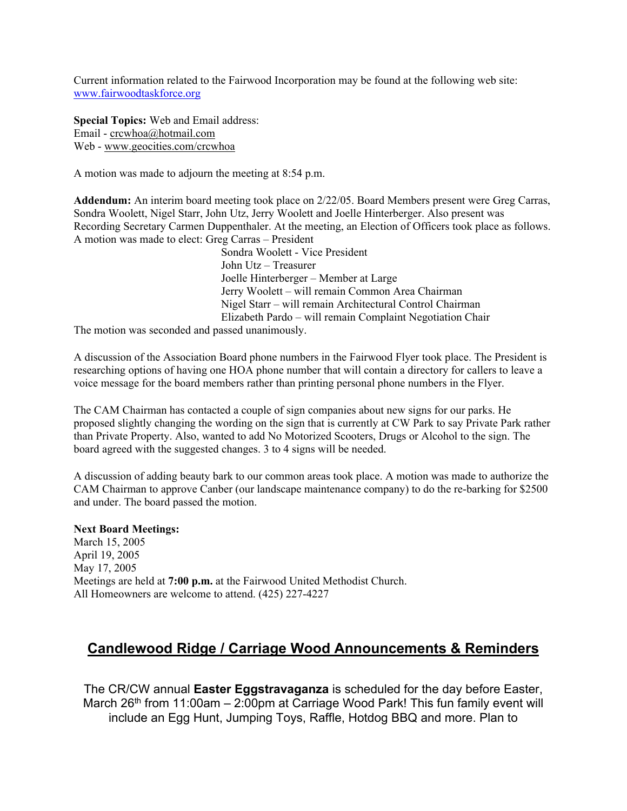Current information related to the Fairwood Incorporation may be found at the following web site: www.fairwoodtaskforce.org

**Special Topics:** Web and Email address: Email - crcwhoa@hotmail.com Web - www.geocities.com/crcwhoa

A motion was made to adjourn the meeting at 8:54 p.m.

**Addendum:** An interim board meeting took place on 2/22/05. Board Members present were Greg Carras, Sondra Woolett, Nigel Starr, John Utz, Jerry Woolett and Joelle Hinterberger. Also present was Recording Secretary Carmen Duppenthaler. At the meeting, an Election of Officers took place as follows. A motion was made to elect: Greg Carras – President

> Sondra Woolett - Vice President John Utz – Treasurer Joelle Hinterberger – Member at Large Jerry Woolett – will remain Common Area Chairman Nigel Starr – will remain Architectural Control Chairman Elizabeth Pardo – will remain Complaint Negotiation Chair

The motion was seconded and passed unanimously.

A discussion of the Association Board phone numbers in the Fairwood Flyer took place. The President is researching options of having one HOA phone number that will contain a directory for callers to leave a voice message for the board members rather than printing personal phone numbers in the Flyer.

The CAM Chairman has contacted a couple of sign companies about new signs for our parks. He proposed slightly changing the wording on the sign that is currently at CW Park to say Private Park rather than Private Property. Also, wanted to add No Motorized Scooters, Drugs or Alcohol to the sign. The board agreed with the suggested changes. 3 to 4 signs will be needed.

A discussion of adding beauty bark to our common areas took place. A motion was made to authorize the CAM Chairman to approve Canber (our landscape maintenance company) to do the re-barking for \$2500 and under. The board passed the motion.

#### **Next Board Meetings:**

March 15, 2005 April 19, 2005 May 17, 2005 Meetings are held at **7:00 p.m.** at the Fairwood United Methodist Church. All Homeowners are welcome to attend. (425) 227-4227

# **Candlewood Ridge / Carriage Wood Announcements & Reminders**

The CR/CW annual **Easter Eggstravaganza** is scheduled for the day before Easter, March 26<sup>th</sup> from 11:00am – 2:00pm at Carriage Wood Park! This fun family event will include an Egg Hunt, Jumping Toys, Raffle, Hotdog BBQ and more. Plan to